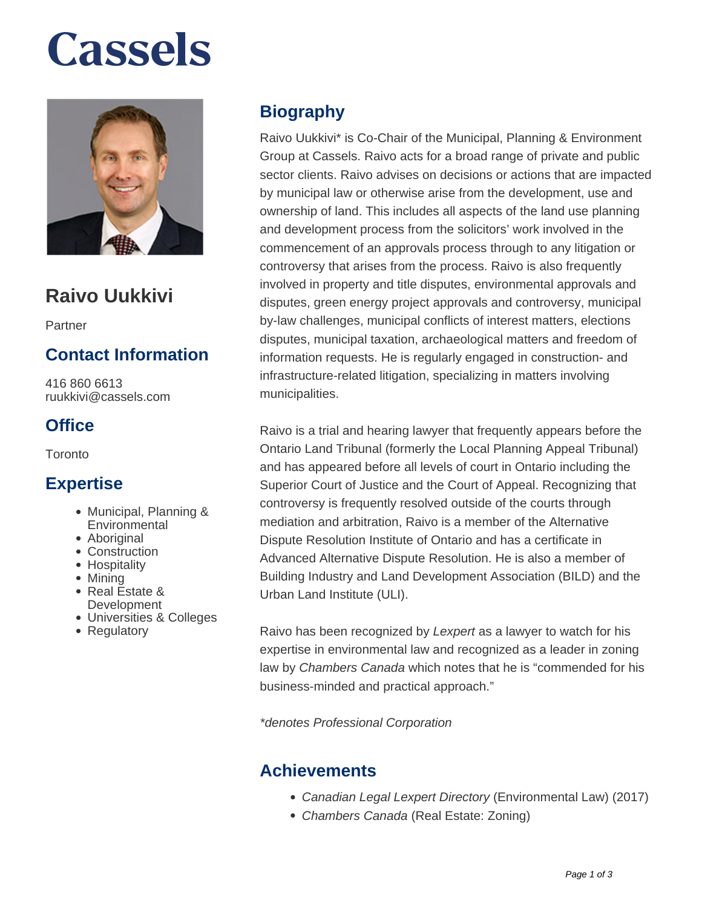# **Cassels**



### **Raivo Uukkivi**

Partner

### **Contact Information**

416 860 6613 ruukkivi@cassels.com

### **Office**

**Toronto** 

#### **Expertise**

- Municipal, Planning & **Environmental**
- Aboriginal
- Construction
- Hospitality
- Mining
- Real Estate & **Development**
- Universities & Colleges
- Regulatory

### **Biography**

Raivo Uukkivi\* is Co-Chair of the Municipal, Planning & Environment Group at Cassels. Raivo acts for a broad range of private and public sector clients. Raivo advises on decisions or actions that are impacted by municipal law or otherwise arise from the development, use and ownership of land. This includes all aspects of the land use planning and development process from the solicitors' work involved in the commencement of an approvals process through to any litigation or controversy that arises from the process. Raivo is also frequently involved in property and title disputes, environmental approvals and disputes, green energy project approvals and controversy, municipal by-law challenges, municipal conflicts of interest matters, elections disputes, municipal taxation, archaeological matters and freedom of information requests. He is regularly engaged in construction- and infrastructure-related litigation, specializing in matters involving municipalities.

Raivo is a trial and hearing lawyer that frequently appears before the Ontario Land Tribunal (formerly the Local Planning Appeal Tribunal) and has appeared before all levels of court in Ontario including the Superior Court of Justice and the Court of Appeal. Recognizing that controversy is frequently resolved outside of the courts through mediation and arbitration, Raivo is a member of the Alternative Dispute Resolution Institute of Ontario and has a certificate in Advanced Alternative Dispute Resolution. He is also a member of Building Industry and Land Development Association (BILD) and the Urban Land Institute (ULI).

Raivo has been recognized by Lexpert as a lawyer to watch for his expertise in environmental law and recognized as a leader in zoning law by Chambers Canada which notes that he is "commended for his business-minded and practical approach."

\*denotes Professional Corporation

### **Achievements**

- Canadian Legal Lexpert Directory (Environmental Law) (2017)
- Chambers Canada (Real Estate: Zoning)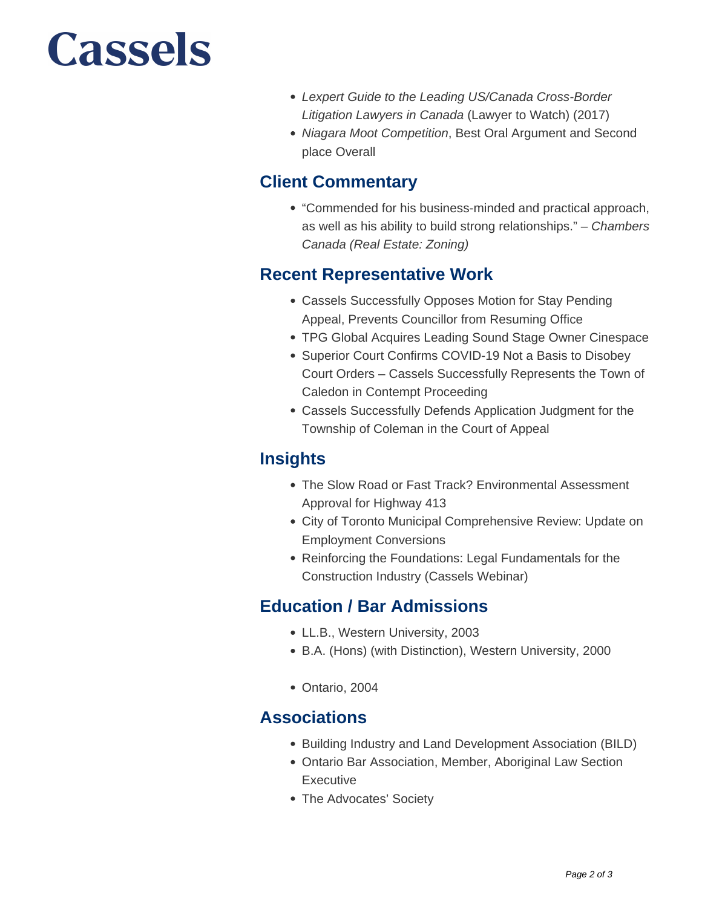## Cassels

- Lexpert Guide to the Leading US/Canada Cross-Border Litigation Lawyers in Canada (Lawyer to Watch) (2017)
- Niagara Moot Competition, Best Oral Argument and Second place Overall

#### **Client Commentary**

"Commended for his business-minded and practical approach, as well as his ability to build strong relationships." – Chambers Canada (Real Estate: Zoning)

### **Recent Representative Work**

- Cassels Successfully Opposes Motion for Stay Pending Appeal, Prevents Councillor from Resuming Office
- TPG Global Acquires Leading Sound Stage Owner Cinespace
- Superior Court Confirms COVID-19 Not a Basis to Disobey Court Orders – Cassels Successfully Represents the Town of Caledon in Contempt Proceeding
- Cassels Successfully Defends Application Judgment for the Township of Coleman in the Court of Appeal

### **Insights**

- The Slow Road or Fast Track? Environmental Assessment Approval for Highway 413
- City of Toronto Municipal Comprehensive Review: Update on Employment Conversions
- Reinforcing the Foundations: Legal Fundamentals for the Construction Industry (Cassels Webinar)

### **Education / Bar Admissions**

- LL.B., Western University, 2003
- B.A. (Hons) (with Distinction), Western University, 2000
- Ontario, 2004

### **Associations**

- Building Industry and Land Development Association (BILD)
- Ontario Bar Association, Member, Aboriginal Law Section **Executive**
- The Advocates' Society